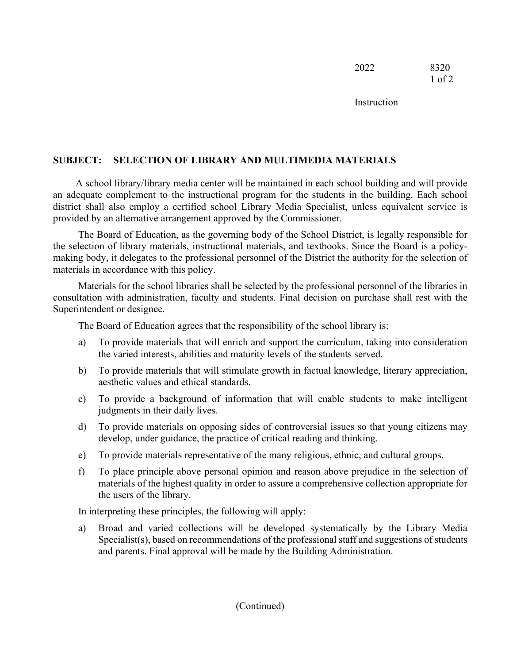2022 8320 1 of 2

**Instruction** 

## **SUBJECT: SELECTION OF LIBRARY AND MULTIMEDIA MATERIALS**

A school library/library media center will be maintained in each school building and will provide an adequate complement to the instructional program for the students in the building. Each school district shall also employ a certified school Library Media Specialist, unless equivalent service is provided by an alternative arrangement approved by the Commissioner.

The Board of Education, as the governing body of the School District, is legally responsible for the selection of library materials, instructional materials, and textbooks. Since the Board is a policymaking body, it delegates to the professional personnel of the District the authority for the selection of materials in accordance with this policy.

Materials for the school libraries shall be selected by the professional personnel of the libraries in consultation with administration, faculty and students. Final decision on purchase shall rest with the Superintendent or designee.

The Board of Education agrees that the responsibility of the school library is:

- a) To provide materials that will enrich and support the curriculum, taking into consideration the varied interests, abilities and maturity levels of the students served.
- b) To provide materials that will stimulate growth in factual knowledge, literary appreciation, aesthetic values and ethical standards.
- c) To provide a background of information that will enable students to make intelligent judgments in their daily lives.
- d) To provide materials on opposing sides of controversial issues so that young citizens may develop, under guidance, the practice of critical reading and thinking.
- e) To provide materials representative of the many religious, ethnic, and cultural groups.
- f) To place principle above personal opinion and reason above prejudice in the selection of materials of the highest quality in order to assure a comprehensive collection appropriate for the users of the library.

In interpreting these principles, the following will apply:

a) Broad and varied collections will be developed systematically by the Library Media Specialist(s), based on recommendations of the professional staff and suggestions of students and parents. Final approval will be made by the Building Administration.